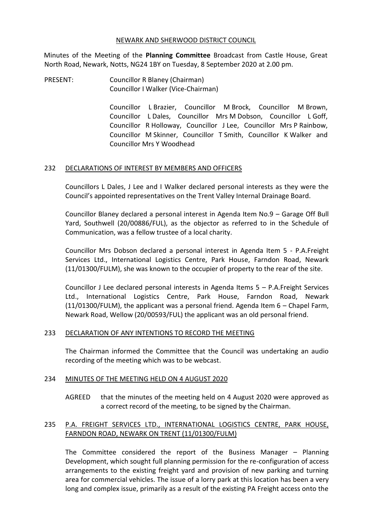#### NEWARK AND SHERWOOD DISTRICT COUNCIL

Minutes of the Meeting of the **Planning Committee** Broadcast from Castle House, Great North Road, Newark, Notts, NG24 1BY on Tuesday, 8 September 2020 at 2.00 pm.

PRESENT: Councillor R Blaney (Chairman) Councillor I Walker (Vice-Chairman)

> Councillor L Brazier, Councillor M Brock, Councillor M Brown, Councillor L Dales, Councillor Mrs M Dobson, Councillor L Goff, Councillor R Holloway, Councillor J Lee, Councillor Mrs P Rainbow, Councillor M Skinner, Councillor T Smith, Councillor K Walker and Councillor Mrs Y Woodhead

# 232 DECLARATIONS OF INTEREST BY MEMBERS AND OFFICERS

Councillors L Dales, J Lee and I Walker declared personal interests as they were the Council's appointed representatives on the Trent Valley Internal Drainage Board.

Councillor Blaney declared a personal interest in Agenda Item No.9 – Garage Off Bull Yard, Southwell (20/00886/FUL), as the objector as referred to in the Schedule of Communication, was a fellow trustee of a local charity.

Councillor Mrs Dobson declared a personal interest in Agenda Item 5 - P.A.Freight Services Ltd., International Logistics Centre, Park House, Farndon Road, Newark (11/01300/FULM), she was known to the occupier of property to the rear of the site.

Councillor J Lee declared personal interests in Agenda Items 5 – P.A.Freight Services Ltd., International Logistics Centre, Park House, Farndon Road, Newark (11/01300/FULM), the applicant was a personal friend. Agenda Item 6 – Chapel Farm, Newark Road, Wellow (20/00593/FUL) the applicant was an old personal friend.

## 233 DECLARATION OF ANY INTENTIONS TO RECORD THE MEETING

The Chairman informed the Committee that the Council was undertaking an audio recording of the meeting which was to be webcast.

## 234 MINUTES OF THE MEETING HELD ON 4 AUGUST 2020

AGREED that the minutes of the meeting held on 4 August 2020 were approved as a correct record of the meeting, to be signed by the Chairman.

# 235 P.A. FREIGHT SERVICES LTD., INTERNATIONAL LOGISTICS CENTRE, PARK HOUSE, FARNDON ROAD, NEWARK ON TRENT (11/01300/FULM)

The Committee considered the report of the Business Manager – Planning Development, which sought full planning permission for the re-configuration of access arrangements to the existing freight yard and provision of new parking and turning area for commercial vehicles. The issue of a lorry park at this location has been a very long and complex issue, primarily as a result of the existing PA Freight access onto the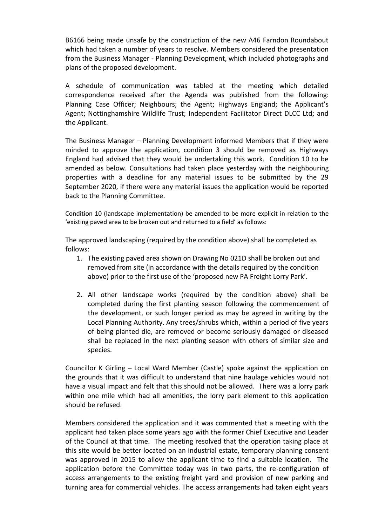B6166 being made unsafe by the construction of the new A46 Farndon Roundabout which had taken a number of years to resolve. Members considered the presentation from the Business Manager - Planning Development, which included photographs and plans of the proposed development.

A schedule of communication was tabled at the meeting which detailed correspondence received after the Agenda was published from the following: Planning Case Officer; Neighbours; the Agent; Highways England; the Applicant's Agent; Nottinghamshire Wildlife Trust; Independent Facilitator Direct DLCC Ltd; and the Applicant.

The Business Manager – Planning Development informed Members that if they were minded to approve the application, condition 3 should be removed as Highways England had advised that they would be undertaking this work. Condition 10 to be amended as below. Consultations had taken place yesterday with the neighbouring properties with a deadline for any material issues to be submitted by the 29 September 2020, if there were any material issues the application would be reported back to the Planning Committee.

Condition 10 (landscape implementation) be amended to be more explicit in relation to the 'existing paved area to be broken out and returned to a field' as follows:

The approved landscaping (required by the condition above) shall be completed as follows:

- 1. The existing paved area shown on Drawing No 021D shall be broken out and removed from site (in accordance with the details required by the condition above) prior to the first use of the 'proposed new PA Freight Lorry Park'.
- 2. All other landscape works (required by the condition above) shall be completed during the first planting season following the commencement of the development, or such longer period as may be agreed in writing by the Local Planning Authority. Any trees/shrubs which, within a period of five years of being planted die, are removed or become seriously damaged or diseased shall be replaced in the next planting season with others of similar size and species.

Councillor K Girling – Local Ward Member (Castle) spoke against the application on the grounds that it was difficult to understand that nine haulage vehicles would not have a visual impact and felt that this should not be allowed. There was a lorry park within one mile which had all amenities, the lorry park element to this application should be refused.

Members considered the application and it was commented that a meeting with the applicant had taken place some years ago with the former Chief Executive and Leader of the Council at that time. The meeting resolved that the operation taking place at this site would be better located on an industrial estate, temporary planning consent was approved in 2015 to allow the applicant time to find a suitable location. The application before the Committee today was in two parts, the re-configuration of access arrangements to the existing freight yard and provision of new parking and turning area for commercial vehicles. The access arrangements had taken eight years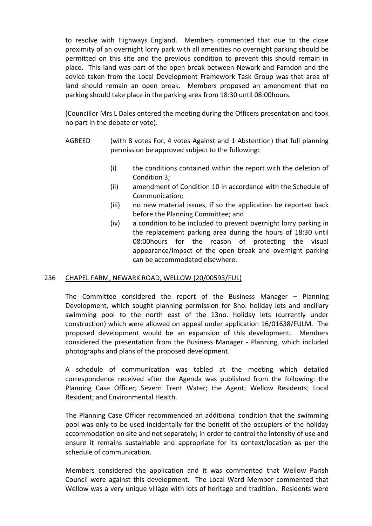to resolve with Highways England. Members commented that due to the close proximity of an overnight lorry park with all amenities no overnight parking should be permitted on this site and the previous condition to prevent this should remain in place. This land was part of the open break between Newark and Farndon and the advice taken from the Local Development Framework Task Group was that area of land should remain an open break. Members proposed an amendment that no parking should take place in the parking area from 18:30 until 08:00hours.

(Councillor Mrs L Dales entered the meeting during the Officers presentation and took no part in the debate or vote).

- AGREED (with 8 votes For, 4 votes Against and 1 Abstention) that full planning permission be approved subject to the following:
	- (i) the conditions contained within the report with the deletion of Condition 3;
	- (ii) amendment of Condition 10 in accordance with the Schedule of Communication;
	- (iii) no new material issues, if so the application be reported back before the Planning Committee; and
	- (iv) a condition to be included to prevent overnight lorry parking in the replacement parking area during the hours of 18:30 until 08:00hours for the reason of protecting the visual appearance/impact of the open break and overnight parking can be accommodated elsewhere.

## 236 CHAPEL FARM, NEWARK ROAD, WELLOW (20/00593/FUL)

The Committee considered the report of the Business Manager – Planning Development, which sought planning permission for 8no. holiday lets and ancillary swimming pool to the north east of the 13no. holiday lets (currently under construction) which were allowed on appeal under application 16/01638/FULM. The proposed development would be an expansion of this development. Members considered the presentation from the Business Manager - Planning, which included photographs and plans of the proposed development.

A schedule of communication was tabled at the meeting which detailed correspondence received after the Agenda was published from the following: the Planning Case Officer; Severn Trent Water; the Agent; Wellow Residents; Local Resident; and Environmental Health.

The Planning Case Officer recommended an additional condition that the swimming pool was only to be used incidentally for the benefit of the occupiers of the holiday accommodation on site and not separately; in order to control the intensity of use and ensure it remains sustainable and appropriate for its context/location as per the schedule of communication.

Members considered the application and it was commented that Wellow Parish Council were against this development. The Local Ward Member commented that Wellow was a very unique village with lots of heritage and tradition. Residents were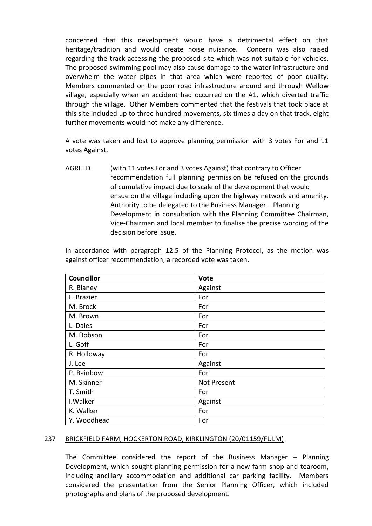concerned that this development would have a detrimental effect on that heritage/tradition and would create noise nuisance. Concern was also raised regarding the track accessing the proposed site which was not suitable for vehicles. The proposed swimming pool may also cause damage to the water infrastructure and overwhelm the water pipes in that area which were reported of poor quality. Members commented on the poor road infrastructure around and through Wellow village, especially when an accident had occurred on the A1, which diverted traffic through the village. Other Members commented that the festivals that took place at this site included up to three hundred movements, six times a day on that track, eight further movements would not make any difference.

A vote was taken and lost to approve planning permission with 3 votes For and 11 votes Against.

AGREED (with 11 votes For and 3 votes Against) that contrary to Officer recommendation full planning permission be refused on the grounds of cumulative impact due to scale of the development that would ensue on the village including upon the highway network and amenity. Authority to be delegated to the Business Manager – Planning Development in consultation with the Planning Committee Chairman, Vice-Chairman and local member to finalise the precise wording of the decision before issue.

In accordance with paragraph 12.5 of the Planning Protocol, as the motion was against officer recommendation, a recorded vote was taken.

| <b>Councillor</b> | <b>Vote</b>        |
|-------------------|--------------------|
| R. Blaney         | Against            |
| L. Brazier        | For                |
| M. Brock          | For                |
| M. Brown          | For                |
| L. Dales          | For                |
| M. Dobson         | For                |
| L. Goff           | For                |
| R. Holloway       | For                |
| J. Lee            | Against            |
| P. Rainbow        | For                |
| M. Skinner        | <b>Not Present</b> |
| T. Smith          | For                |
| I. Walker         | Against            |
| K. Walker         | For                |
| Y. Woodhead       | For                |

## 237 BRICKFIELD FARM, HOCKERTON ROAD, KIRKLINGTON (20/01159/FULM)

The Committee considered the report of the Business Manager – Planning Development, which sought planning permission for a new farm shop and tearoom, including ancillary accommodation and additional car parking facility. Members considered the presentation from the Senior Planning Officer, which included photographs and plans of the proposed development.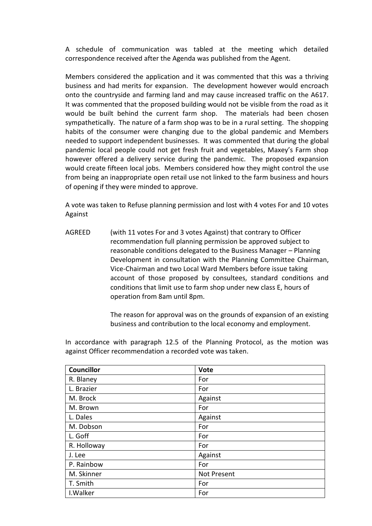A schedule of communication was tabled at the meeting which detailed correspondence received after the Agenda was published from the Agent.

Members considered the application and it was commented that this was a thriving business and had merits for expansion. The development however would encroach onto the countryside and farming land and may cause increased traffic on the A617. It was commented that the proposed building would not be visible from the road as it would be built behind the current farm shop. The materials had been chosen sympathetically. The nature of a farm shop was to be in a rural setting. The shopping habits of the consumer were changing due to the global pandemic and Members needed to support independent businesses. It was commented that during the global pandemic local people could not get fresh fruit and vegetables, Maxey's Farm shop however offered a delivery service during the pandemic. The proposed expansion would create fifteen local jobs. Members considered how they might control the use from being an inappropriate open retail use not linked to the farm business and hours of opening if they were minded to approve.

A vote was taken to Refuse planning permission and lost with 4 votes For and 10 votes Against

AGREED (with 11 votes For and 3 votes Against) that contrary to Officer recommendation full planning permission be approved subject to reasonable conditions delegated to the Business Manager – Planning Development in consultation with the Planning Committee Chairman, Vice-Chairman and two Local Ward Members before issue taking account of those proposed by consultees, standard conditions and conditions that limit use to farm shop under new class E, hours of operation from 8am until 8pm.

> The reason for approval was on the grounds of expansion of an existing business and contribution to the local economy and employment.

In accordance with paragraph 12.5 of the Planning Protocol, as the motion was against Officer recommendation a recorded vote was taken.

| <b>Councillor</b> | Vote        |
|-------------------|-------------|
| R. Blaney         | For         |
| L. Brazier        | For         |
| M. Brock          | Against     |
| M. Brown          | For         |
| L. Dales          | Against     |
| M. Dobson         | For         |
| L. Goff           | For         |
| R. Holloway       | For         |
| J. Lee            | Against     |
| P. Rainbow        | For         |
| M. Skinner        | Not Present |
| T. Smith          | For         |
| I. Walker         | For         |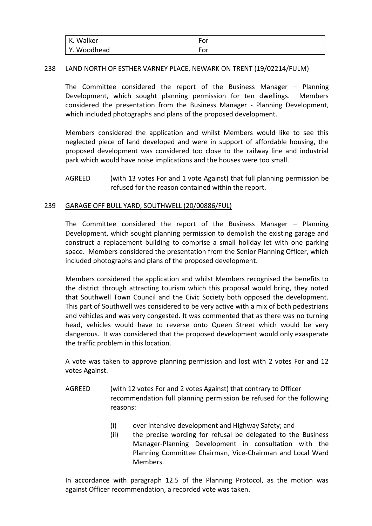| Walker<br>' Κ. | For      |
|----------------|----------|
| Y. Woodhead    | -<br>For |

#### 238 LAND NORTH OF ESTHER VARNEY PLACE, NEWARK ON TRENT (19/02214/FULM)

The Committee considered the report of the Business Manager – Planning Development, which sought planning permission for ten dwellings. Members considered the presentation from the Business Manager - Planning Development, which included photographs and plans of the proposed development.

Members considered the application and whilst Members would like to see this neglected piece of land developed and were in support of affordable housing, the proposed development was considered too close to the railway line and industrial park which would have noise implications and the houses were too small.

AGREED (with 13 votes For and 1 vote Against) that full planning permission be refused for the reason contained within the report.

#### 239 GARAGE OFF BULL YARD, SOUTHWELL (20/00886/FUL)

The Committee considered the report of the Business Manager – Planning Development, which sought planning permission to demolish the existing garage and construct a replacement building to comprise a small holiday let with one parking space. Members considered the presentation from the Senior Planning Officer, which included photographs and plans of the proposed development.

Members considered the application and whilst Members recognised the benefits to the district through attracting tourism which this proposal would bring, they noted that Southwell Town Council and the Civic Society both opposed the development. This part of Southwell was considered to be very active with a mix of both pedestrians and vehicles and was very congested. It was commented that as there was no turning head, vehicles would have to reverse onto Queen Street which would be very dangerous. It was considered that the proposed development would only exasperate the traffic problem in this location.

A vote was taken to approve planning permission and lost with 2 votes For and 12 votes Against.

- AGREED (with 12 votes For and 2 votes Against) that contrary to Officer recommendation full planning permission be refused for the following reasons:
	- (i) over intensive development and Highway Safety; and
	- (ii) the precise wording for refusal be delegated to the Business Manager-Planning Development in consultation with the Planning Committee Chairman, Vice-Chairman and Local Ward Members.

In accordance with paragraph 12.5 of the Planning Protocol, as the motion was against Officer recommendation, a recorded vote was taken.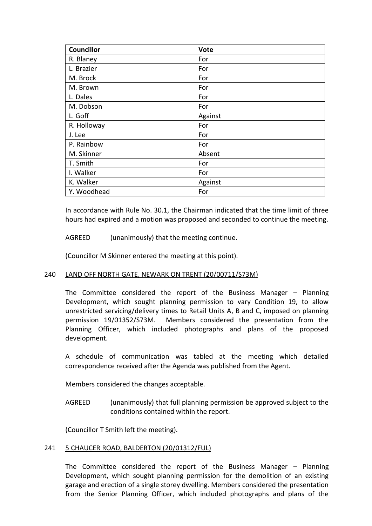| <b>Councillor</b> | Vote    |
|-------------------|---------|
| R. Blaney         | For     |
| L. Brazier        | For     |
| M. Brock          | For     |
| M. Brown          | For     |
| L. Dales          | For     |
| M. Dobson         | For     |
| L. Goff           | Against |
| R. Holloway       | For     |
| J. Lee            | For     |
| P. Rainbow        | For     |
| M. Skinner        | Absent  |
| T. Smith          | For     |
| I. Walker         | For     |
| K. Walker         | Against |
| Y. Woodhead       | For     |

In accordance with Rule No. 30.1, the Chairman indicated that the time limit of three hours had expired and a motion was proposed and seconded to continue the meeting.

AGREED (unanimously) that the meeting continue.

(Councillor M Skinner entered the meeting at this point).

## 240 LAND OFF NORTH GATE, NEWARK ON TRENT (20/00711/S73M)

The Committee considered the report of the Business Manager – Planning Development, which sought planning permission to vary Condition 19, to allow unrestricted servicing/delivery times to Retail Units A, B and C, imposed on planning permission 19/01352/S73M. Members considered the presentation from the Planning Officer, which included photographs and plans of the proposed development.

A schedule of communication was tabled at the meeting which detailed correspondence received after the Agenda was published from the Agent.

Members considered the changes acceptable.

AGREED (unanimously) that full planning permission be approved subject to the conditions contained within the report.

(Councillor T Smith left the meeting).

## 241 5 CHAUCER ROAD, BALDERTON (20/01312/FUL)

The Committee considered the report of the Business Manager – Planning Development, which sought planning permission for the demolition of an existing garage and erection of a single storey dwelling. Members considered the presentation from the Senior Planning Officer, which included photographs and plans of the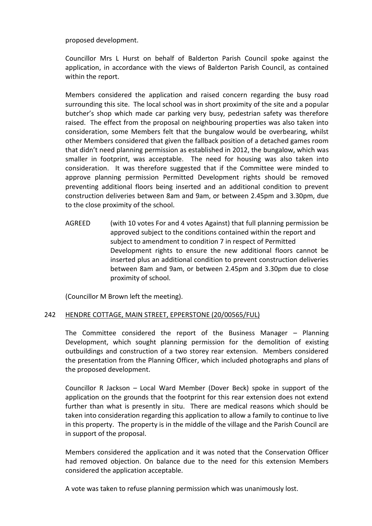proposed development.

Councillor Mrs L Hurst on behalf of Balderton Parish Council spoke against the application, in accordance with the views of Balderton Parish Council, as contained within the report.

Members considered the application and raised concern regarding the busy road surrounding this site. The local school was in short proximity of the site and a popular butcher's shop which made car parking very busy, pedestrian safety was therefore raised. The effect from the proposal on neighbouring properties was also taken into consideration, some Members felt that the bungalow would be overbearing, whilst other Members considered that given the fallback position of a detached games room that didn't need planning permission as established in 2012, the bungalow, which was smaller in footprint, was acceptable. The need for housing was also taken into consideration. It was therefore suggested that if the Committee were minded to approve planning permission Permitted Development rights should be removed preventing additional floors being inserted and an additional condition to prevent construction deliveries between 8am and 9am, or between 2.45pm and 3.30pm, due to the close proximity of the school.

AGREED (with 10 votes For and 4 votes Against) that full planning permission be approved subject to the conditions contained within the report and subject to amendment to condition 7 in respect of Permitted Development rights to ensure the new additional floors cannot be inserted plus an additional condition to prevent construction deliveries between 8am and 9am, or between 2.45pm and 3.30pm due to close proximity of school.

(Councillor M Brown left the meeting).

## 242 HENDRE COTTAGE, MAIN STREET, EPPERSTONE (20/00565/FUL)

The Committee considered the report of the Business Manager – Planning Development, which sought planning permission for the demolition of existing outbuildings and construction of a two storey rear extension. Members considered the presentation from the Planning Officer, which included photographs and plans of the proposed development.

Councillor R Jackson – Local Ward Member (Dover Beck) spoke in support of the application on the grounds that the footprint for this rear extension does not extend further than what is presently in situ. There are medical reasons which should be taken into consideration regarding this application to allow a family to continue to live in this property. The property is in the middle of the village and the Parish Council are in support of the proposal.

Members considered the application and it was noted that the Conservation Officer had removed objection. On balance due to the need for this extension Members considered the application acceptable.

A vote was taken to refuse planning permission which was unanimously lost.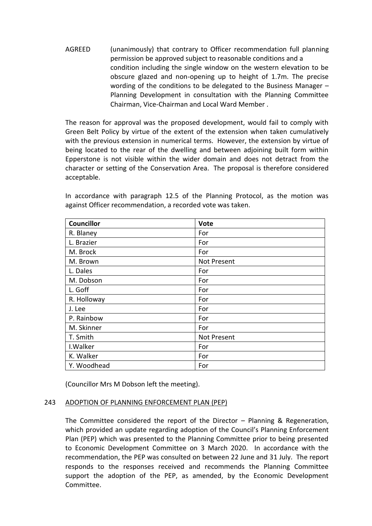AGREED (unanimously) that contrary to Officer recommendation full planning permission be approved subject to reasonable conditions and a condition including the single window on the western elevation to be obscure glazed and non-opening up to height of 1.7m. The precise wording of the conditions to be delegated to the Business Manager – Planning Development in consultation with the Planning Committee Chairman, Vice-Chairman and Local Ward Member .

The reason for approval was the proposed development, would fail to comply with Green Belt Policy by virtue of the extent of the extension when taken cumulatively with the previous extension in numerical terms. However, the extension by virtue of being located to the rear of the dwelling and between adjoining built form within Epperstone is not visible within the wider domain and does not detract from the character or setting of the Conservation Area. The proposal is therefore considered acceptable.

| <b>Councillor</b> | <b>Vote</b> |
|-------------------|-------------|
| R. Blaney         | For         |
| L. Brazier        | For         |
| M. Brock          | For         |
| M. Brown          | Not Present |
| L. Dales          | For         |
| M. Dobson         | For         |
| L. Goff           | For         |
| R. Holloway       | For         |
| J. Lee            | For         |
| P. Rainbow        | For         |
| M. Skinner        | For         |
| T. Smith          | Not Present |
| I. Walker         | For         |
| K. Walker         | For         |
| Y. Woodhead       | For         |

In accordance with paragraph 12.5 of the Planning Protocol, as the motion was against Officer recommendation, a recorded vote was taken.

(Councillor Mrs M Dobson left the meeting).

## 243 ADOPTION OF PLANNING ENFORCEMENT PLAN (PEP)

The Committee considered the report of the Director – Planning & Regeneration, which provided an update regarding adoption of the Council's Planning Enforcement Plan (PEP) which was presented to the Planning Committee prior to being presented to Economic Development Committee on 3 March 2020. In accordance with the recommendation, the PEP was consulted on between 22 June and 31 July. The report responds to the responses received and recommends the Planning Committee support the adoption of the PEP, as amended, by the Economic Development Committee.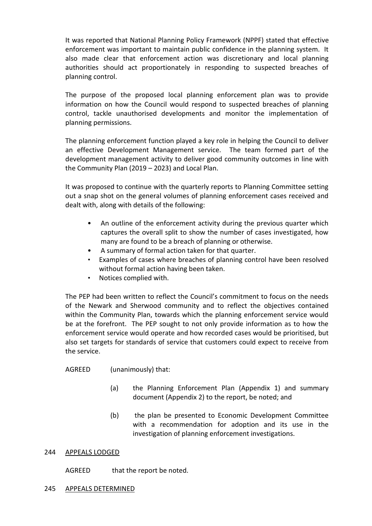It was reported that National Planning Policy Framework (NPPF) stated that effective enforcement was important to maintain public confidence in the planning system. It also made clear that enforcement action was discretionary and local planning authorities should act proportionately in responding to suspected breaches of planning control.

The purpose of the proposed local planning enforcement plan was to provide information on how the Council would respond to suspected breaches of planning control, tackle unauthorised developments and monitor the implementation of planning permissions.

The planning enforcement function played a key role in helping the Council to deliver an effective Development Management service. The team formed part of the development management activity to deliver good community outcomes in line with the Community Plan (2019 – 2023) and Local Plan.

It was proposed to continue with the quarterly reports to Planning Committee setting out a snap shot on the general volumes of planning enforcement cases received and dealt with, along with details of the following:

- An outline of the enforcement activity during the previous quarter which captures the overall split to show the number of cases investigated, how many are found to be a breach of planning or otherwise.
- A summary of formal action taken for that quarter.
- Examples of cases where breaches of planning control have been resolved without formal action having been taken.
- Notices complied with.

The PEP had been written to reflect the Council's commitment to focus on the needs of the Newark and Sherwood community and to reflect the objectives contained within the Community Plan, towards which the planning enforcement service would be at the forefront. The PEP sought to not only provide information as to how the enforcement service would operate and how recorded cases would be prioritised, but also set targets for standards of service that customers could expect to receive from the service.

## AGREED (unanimously) that:

- (a) the Planning Enforcement Plan (Appendix 1) and summary document (Appendix 2) to the report, be noted; and
- (b) the plan be presented to Economic Development Committee with a recommendation for adoption and its use in the investigation of planning enforcement investigations.

## 244 APPEALS LODGED

AGREED that the report be noted.

245 APPEALS DETERMINED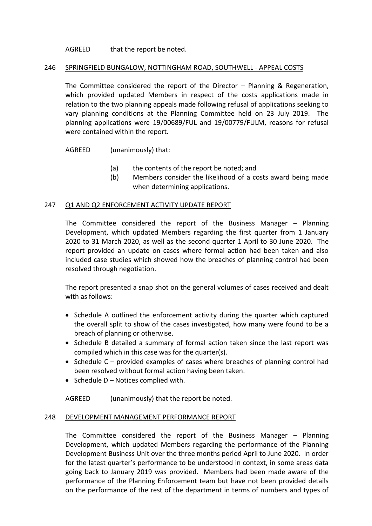AGREED that the report be noted.

#### 246 SPRINGFIELD BUNGALOW, NOTTINGHAM ROAD, SOUTHWELL - APPEAL COSTS

The Committee considered the report of the Director – Planning & Regeneration, which provided updated Members in respect of the costs applications made in relation to the two planning appeals made following refusal of applications seeking to vary planning conditions at the Planning Committee held on 23 July 2019. The planning applications were 19/00689/FUL and 19/00779/FULM, reasons for refusal were contained within the report.

AGREED (unanimously) that:

- (a) the contents of the report be noted; and
- (b) Members consider the likelihood of a costs award being made when determining applications.

## 247 Q1 AND Q2 ENFORCEMENT ACTIVITY UPDATE REPORT

The Committee considered the report of the Business Manager – Planning Development, which updated Members regarding the first quarter from 1 January 2020 to 31 March 2020, as well as the second quarter 1 April to 30 June 2020. The report provided an update on cases where formal action had been taken and also included case studies which showed how the breaches of planning control had been resolved through negotiation.

The report presented a snap shot on the general volumes of cases received and dealt with as follows:

- Schedule A outlined the enforcement activity during the quarter which captured the overall split to show of the cases investigated, how many were found to be a breach of planning or otherwise.
- Schedule B detailed a summary of formal action taken since the last report was compiled which in this case was for the quarter(s).
- Schedule  $C$  provided examples of cases where breaches of planning control had been resolved without formal action having been taken.
- $\bullet$  Schedule D Notices complied with.

AGREED (unanimously) that the report be noted.

# 248 DEVELOPMENT MANAGEMENT PERFORMANCE REPORT

The Committee considered the report of the Business Manager – Planning Development, which updated Members regarding the performance of the Planning Development Business Unit over the three months period April to June 2020. In order for the latest quarter's performance to be understood in context, in some areas data going back to January 2019 was provided. Members had been made aware of the performance of the Planning Enforcement team but have not been provided details on the performance of the rest of the department in terms of numbers and types of